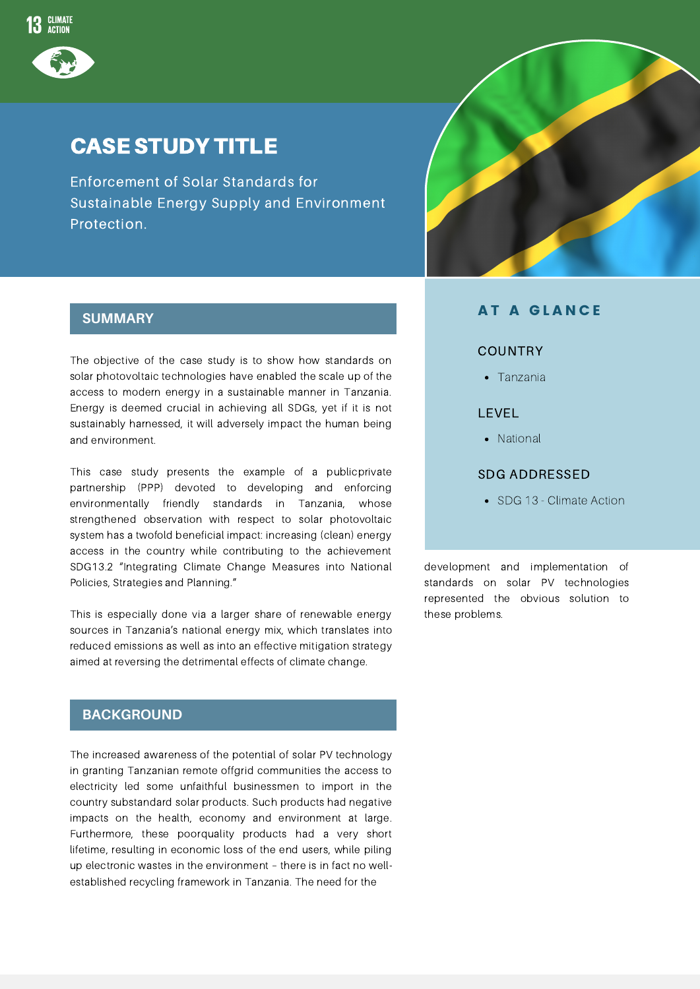

# CASE STUDY TITLE

Enforcement of Solar Standards for Sustainable Energy Supply and Environment Protection.

### **SUMMARY**

The objective of the case study is to show how standards on solar photovoltaic technologies have enabled the scale up of the access to modern energy in a sustainable manner in Tanzania. Energy is deemed crucial in achieving all SDGs, yet if it is not sustainably harnessed, it will adversely impact the human being and environment.

This case study presents the example of a publicprivate partnership (PPP) devoted to developing and enforcing environmentally friendly standards in Tanzania, whose strengthened observation with respect to solar photovoltaic system has a twofold beneficial impact: increasing (clean) energy access in the country while contributing to the achievement SDG13.2 "Integrating Climate Change Measures into National Policies, Strategies and Planning."

This is especially done via a larger share of renewable energy sources in Tanzania's national energy mix, which translates into reduced emissions as well as into an effective mitigation strategy aimed at reversing the detrimental effects of climate change.

## **BACKGROUND**

The increased awareness of the potential of solar PV technology in granting Tanzanian remote offgrid communities the access to electricity led some unfaithful businessmen to import in the country substandard solar products. Such products had negative impacts on the health, economy and environment at large. Furthermore, these poorquality products had a very short lifetime, resulting in economic loss of the end users, while piling up electronic wastes in the environment – there is in fact no wellestablished recycling framework in Tanzania. The need for the



#### **AT A GLANCE**

#### COUNTRY

Tanzania

#### LEVEL

• National

#### SDG ADDRESSED

• SDG 13 - Climate Action

development and implementation of standards on solar PV technologies represented the obvious solution to these problems.